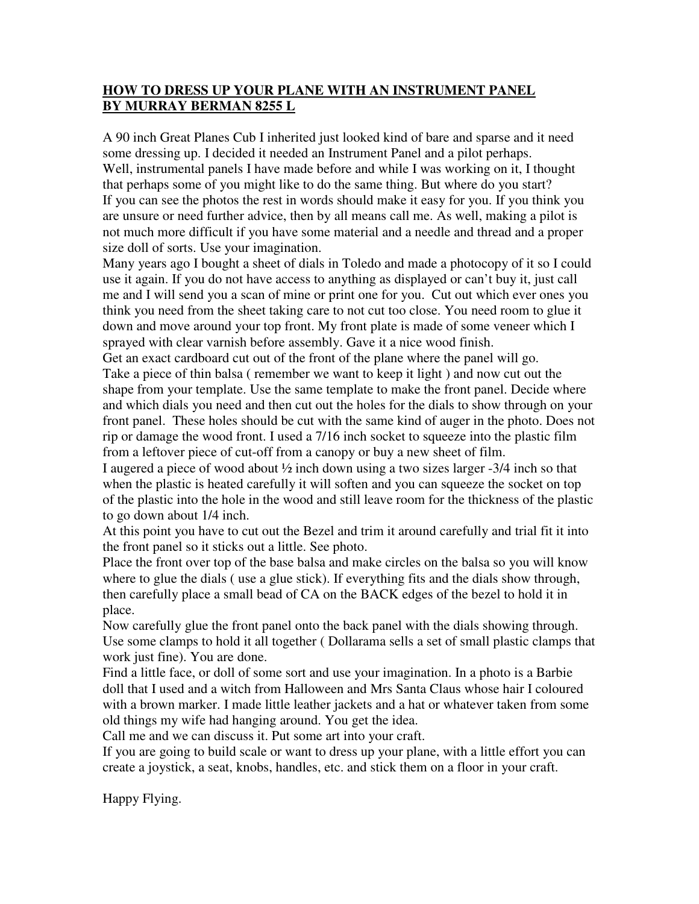## **HOW TO DRESS UP YOUR PLANE WITH AN INSTRUMENT PANEL BY MURRAY BERMAN 8255 L**

A 90 inch Great Planes Cub I inherited just looked kind of bare and sparse and it need some dressing up. I decided it needed an Instrument Panel and a pilot perhaps. Well, instrumental panels I have made before and while I was working on it, I thought that perhaps some of you might like to do the same thing. But where do you start? If you can see the photos the rest in words should make it easy for you. If you think you are unsure or need further advice, then by all means call me. As well, making a pilot is not much more difficult if you have some material and a needle and thread and a proper size doll of sorts. Use your imagination.

Many years ago I bought a sheet of dials in Toledo and made a photocopy of it so I could use it again. If you do not have access to anything as displayed or can't buy it, just call me and I will send you a scan of mine or print one for you. Cut out which ever ones you think you need from the sheet taking care to not cut too close. You need room to glue it down and move around your top front. My front plate is made of some veneer which I sprayed with clear varnish before assembly. Gave it a nice wood finish.

Get an exact cardboard cut out of the front of the plane where the panel will go. Take a piece of thin balsa ( remember we want to keep it light ) and now cut out the shape from your template. Use the same template to make the front panel. Decide where and which dials you need and then cut out the holes for the dials to show through on your front panel. These holes should be cut with the same kind of auger in the photo. Does not rip or damage the wood front. I used a 7/16 inch socket to squeeze into the plastic film from a leftover piece of cut-off from a canopy or buy a new sheet of film.

I augered a piece of wood about ½ inch down using a two sizes larger -3/4 inch so that when the plastic is heated carefully it will soften and you can squeeze the socket on top of the plastic into the hole in the wood and still leave room for the thickness of the plastic to go down about 1/4 inch.

At this point you have to cut out the Bezel and trim it around carefully and trial fit it into the front panel so it sticks out a little. See photo.

Place the front over top of the base balsa and make circles on the balsa so you will know where to glue the dials ( use a glue stick). If everything fits and the dials show through, then carefully place a small bead of CA on the BACK edges of the bezel to hold it in place.

Now carefully glue the front panel onto the back panel with the dials showing through. Use some clamps to hold it all together ( Dollarama sells a set of small plastic clamps that work just fine). You are done.

Find a little face, or doll of some sort and use your imagination. In a photo is a Barbie doll that I used and a witch from Halloween and Mrs Santa Claus whose hair I coloured with a brown marker. I made little leather jackets and a hat or whatever taken from some old things my wife had hanging around. You get the idea.

Call me and we can discuss it. Put some art into your craft.

If you are going to build scale or want to dress up your plane, with a little effort you can create a joystick, a seat, knobs, handles, etc. and stick them on a floor in your craft.

Happy Flying.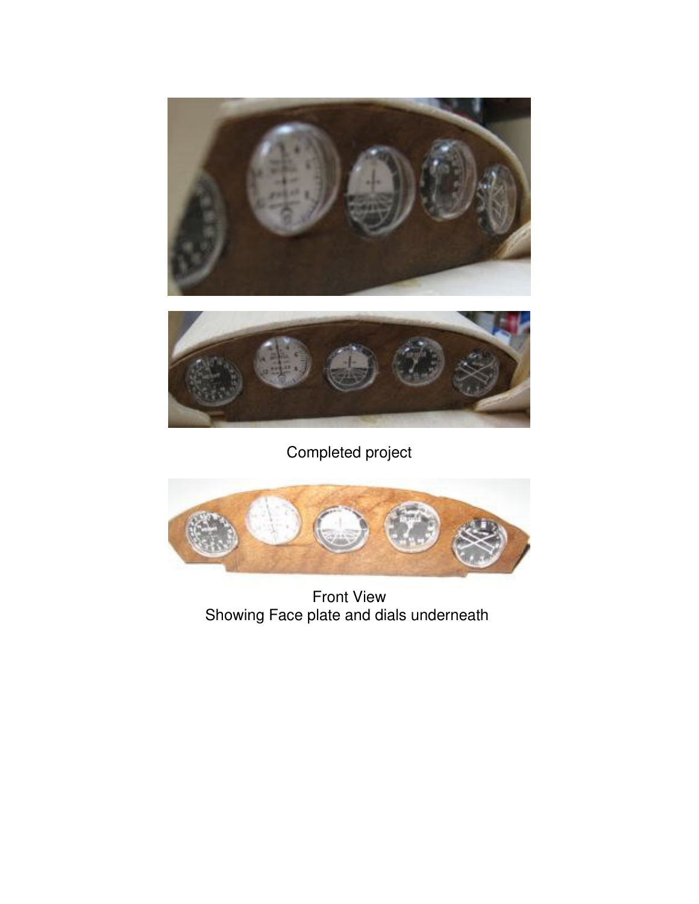



Completed project



Front View Showing Face plate and dials underneath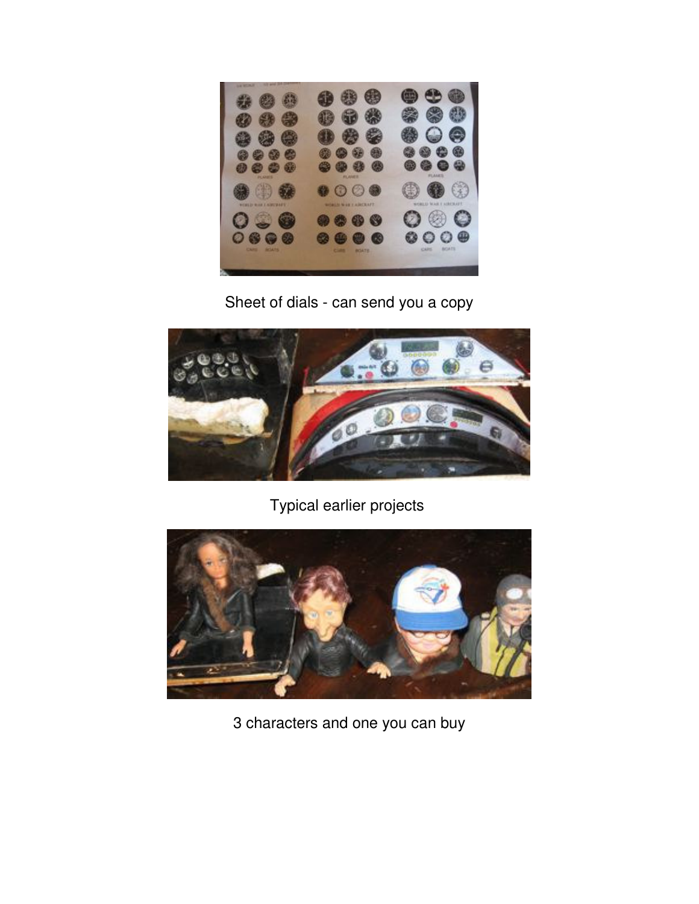

Sheet of dials - can send you a copy



Typical earlier projects



3 characters and one you can buy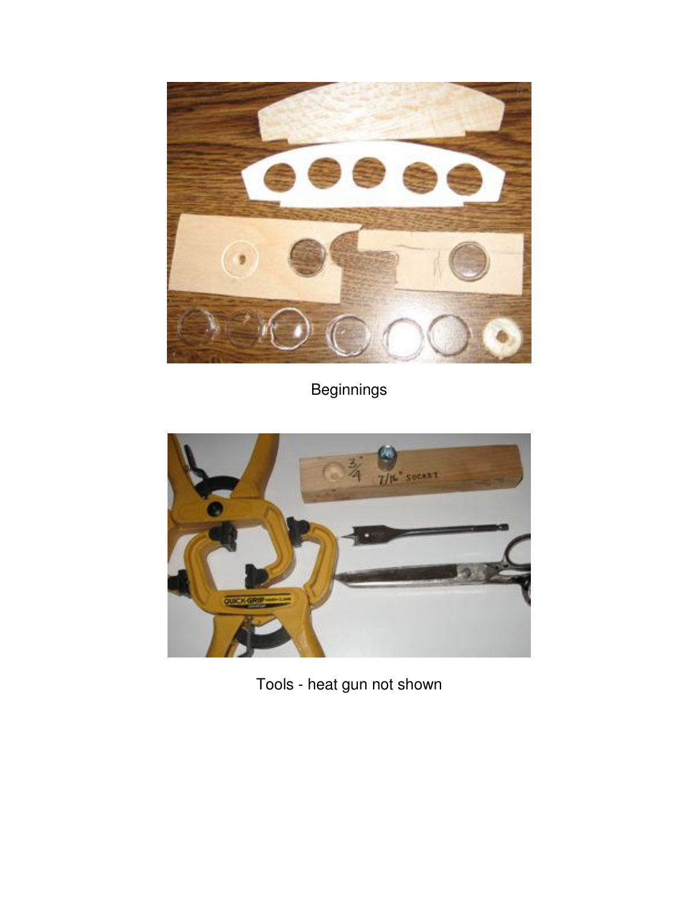

Beginnings



Tools - heat gun not shown